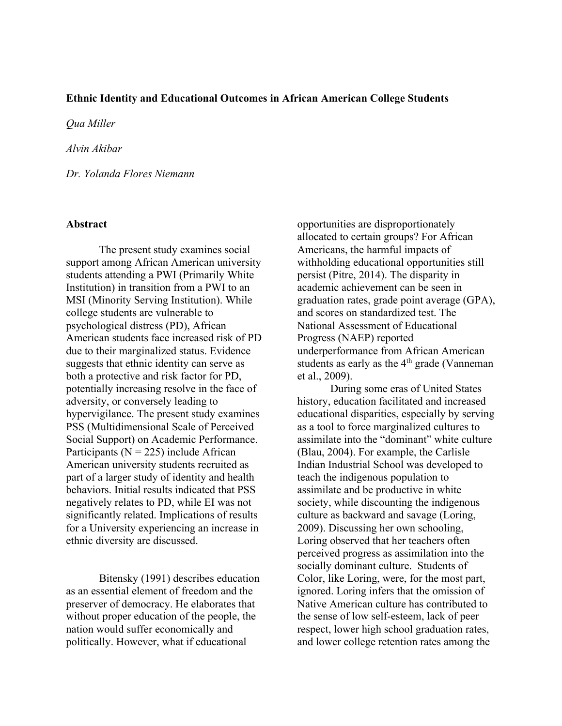## **Ethnic Identity and Educational Outcomes in African American College Students**

*Qua Miller*

*Alvin Akibar*

*Dr. Yolanda Flores Niemann*

#### **Abstract**

The present study examines social support among African American university students attending a PWI (Primarily White Institution) in transition from a PWI to an MSI (Minority Serving Institution). While college students are vulnerable to psychological distress (PD), African American students face increased risk of PD due to their marginalized status. Evidence suggests that ethnic identity can serve as both a protective and risk factor for PD, potentially increasing resolve in the face of adversity, or conversely leading to hypervigilance. The present study examines PSS (Multidimensional Scale of Perceived Social Support) on Academic Performance. Participants ( $N = 225$ ) include African American university students recruited as part of a larger study of identity and health behaviors. Initial results indicated that PSS negatively relates to PD, while EI was not significantly related. Implications of results for a University experiencing an increase in ethnic diversity are discussed.

Bitensky (1991) describes education as an essential element of freedom and the preserver of democracy. He elaborates that without proper education of the people, the nation would suffer economically and politically. However, what if educational

opportunities are disproportionately allocated to certain groups? For African Americans, the harmful impacts of withholding educational opportunities still persist (Pitre, 2014). The disparity in academic achievement can be seen in graduation rates, grade point average (GPA), and scores on standardized test. The National Assessment of Educational Progress (NAEP) reported underperformance from African American students as early as the  $4<sup>th</sup>$  grade (Vanneman et al., 2009).

During some eras of United States history, education facilitated and increased educational disparities, especially by serving as a tool to force marginalized cultures to assimilate into the "dominant" white culture (Blau, 2004). For example, the Carlisle Indian Industrial School was developed to teach the indigenous population to assimilate and be productive in white society, while discounting the indigenous culture as backward and savage (Loring, 2009). Discussing her own schooling, Loring observed that her teachers often perceived progress as assimilation into the socially dominant culture. Students of Color, like Loring, were, for the most part, ignored. Loring infers that the omission of Native American culture has contributed to the sense of low self-esteem, lack of peer respect, lower high school graduation rates, and lower college retention rates among the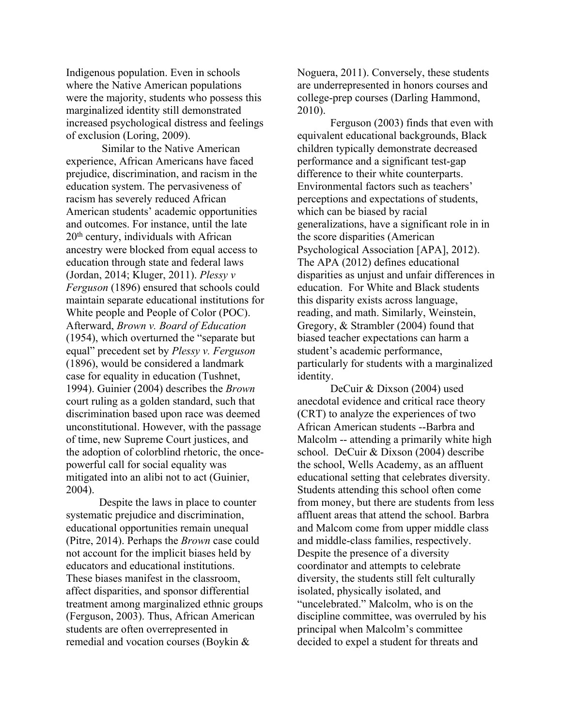Indigenous population. Even in schools where the Native American populations were the majority, students who possess this marginalized identity still demonstrated increased psychological distress and feelings of exclusion (Loring, 2009).

Similar to the Native American experience, African Americans have faced prejudice, discrimination, and racism in the education system. The pervasiveness of racism has severely reduced African American students' academic opportunities and outcomes. For instance, until the late  $20<sup>th</sup>$  century, individuals with African ancestry were blocked from equal access to education through state and federal laws (Jordan, 2014; Kluger, 2011). *Plessy v Ferguson* (1896) ensured that schools could maintain separate educational institutions for White people and People of Color (POC). Afterward, *Brown v. Board of Education* (1954), which overturned the "separate but equal" precedent set by *Plessy v. Ferguson* (1896), would be considered a landmark case for equality in education (Tushnet, 1994). Guinier (2004) describes the *Brown* court ruling as a golden standard, such that discrimination based upon race was deemed unconstitutional. However, with the passage of time, new Supreme Court justices, and the adoption of colorblind rhetoric, the oncepowerful call for social equality was mitigated into an alibi not to act (Guinier, 2004).

Despite the laws in place to counter systematic prejudice and discrimination, educational opportunities remain unequal (Pitre, 2014). Perhaps the *Brown* case could not account for the implicit biases held by educators and educational institutions. These biases manifest in the classroom, affect disparities, and sponsor differential treatment among marginalized ethnic groups (Ferguson, 2003). Thus, African American students are often overrepresented in remedial and vocation courses (Boykin &

Noguera, 2011). Conversely, these students are underrepresented in honors courses and college-prep courses (Darling Hammond, 2010).

Ferguson (2003) finds that even with equivalent educational backgrounds, Black children typically demonstrate decreased performance and a significant test-gap difference to their white counterparts. Environmental factors such as teachers' perceptions and expectations of students, which can be biased by racial generalizations, have a significant role in in the score disparities (American Psychological Association [APA], 2012). The APA (2012) defines educational disparities as unjust and unfair differences in education. For White and Black students this disparity exists across language, reading, and math. Similarly, Weinstein, Gregory, & Strambler (2004) found that biased teacher expectations can harm a student's academic performance, particularly for students with a marginalized identity.

DeCuir & Dixson (2004) used anecdotal evidence and critical race theory (CRT) to analyze the experiences of two African American students --Barbra and Malcolm -- attending a primarily white high school. DeCuir & Dixson (2004) describe the school, Wells Academy, as an affluent educational setting that celebrates diversity. Students attending this school often come from money, but there are students from less affluent areas that attend the school. Barbra and Malcom come from upper middle class and middle-class families, respectively. Despite the presence of a diversity coordinator and attempts to celebrate diversity, the students still felt culturally isolated, physically isolated, and "uncelebrated." Malcolm, who is on the discipline committee, was overruled by his principal when Malcolm's committee decided to expel a student for threats and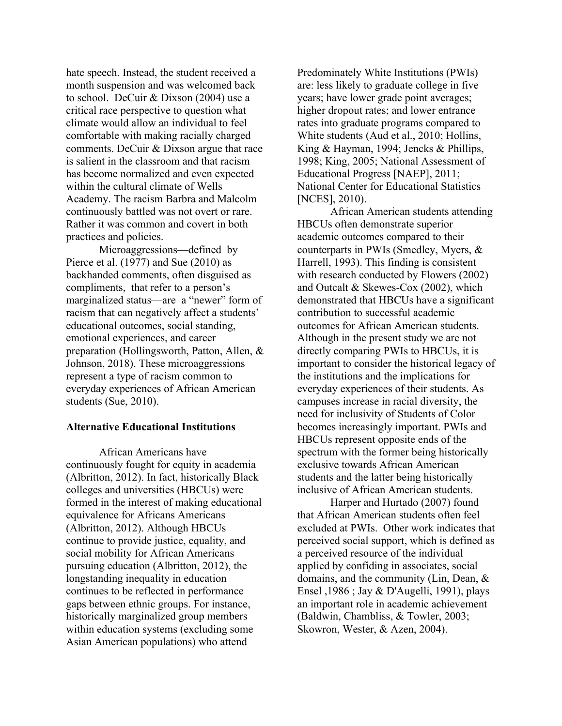hate speech. Instead, the student received a month suspension and was welcomed back to school. DeCuir & Dixson (2004) use a critical race perspective to question what climate would allow an individual to feel comfortable with making racially charged comments. DeCuir & Dixson argue that race is salient in the classroom and that racism has become normalized and even expected within the cultural climate of Wells Academy. The racism Barbra and Malcolm continuously battled was not overt or rare. Rather it was common and covert in both practices and policies.

Microaggressions—defined by Pierce et al. (1977) and Sue (2010) as backhanded comments, often disguised as compliments, that refer to a person's marginalized status—are a "newer" form of racism that can negatively affect a students' educational outcomes, social standing, emotional experiences, and career preparation (Hollingsworth, Patton, Allen, & Johnson, 2018). These microaggressions represent a type of racism common to everyday experiences of African American students (Sue, 2010).

#### **Alternative Educational Institutions**

African Americans have continuously fought for equity in academia (Albritton, 2012). In fact, historically Black colleges and universities (HBCUs) were formed in the interest of making educational equivalence for Africans Americans (Albritton, 2012). Although HBCUs continue to provide justice, equality, and social mobility for African Americans pursuing education (Albritton, 2012), the longstanding inequality in education continues to be reflected in performance gaps between ethnic groups. For instance, historically marginalized group members within education systems (excluding some Asian American populations) who attend

Predominately White Institutions (PWIs) are: less likely to graduate college in five years; have lower grade point averages; higher dropout rates; and lower entrance rates into graduate programs compared to White students (Aud et al., 2010; Hollins, King & Hayman, 1994; Jencks & Phillips, 1998; King, 2005; National Assessment of Educational Progress [NAEP], 2011; National Center for Educational Statistics [NCES], 2010).

African American students attending HBCUs often demonstrate superior academic outcomes compared to their counterparts in PWIs (Smedley, Myers, & Harrell, 1993). This finding is consistent with research conducted by Flowers (2002) and Outcalt & Skewes-Cox (2002), which demonstrated that HBCUs have a significant contribution to successful academic outcomes for African American students. Although in the present study we are not directly comparing PWIs to HBCUs, it is important to consider the historical legacy of the institutions and the implications for everyday experiences of their students. As campuses increase in racial diversity, the need for inclusivity of Students of Color becomes increasingly important. PWIs and HBCUs represent opposite ends of the spectrum with the former being historically exclusive towards African American students and the latter being historically inclusive of African American students.

Harper and Hurtado (2007) found that African American students often feel excluded at PWIs. Other work indicates that perceived social support, which is defined as a perceived resource of the individual applied by confiding in associates, social domains, and the community (Lin, Dean, & Ensel ,1986 ; Jay & D'Augelli, 1991), plays an important role in academic achievement (Baldwin, Chambliss, & Towler, 2003; Skowron, Wester, & Azen, 2004).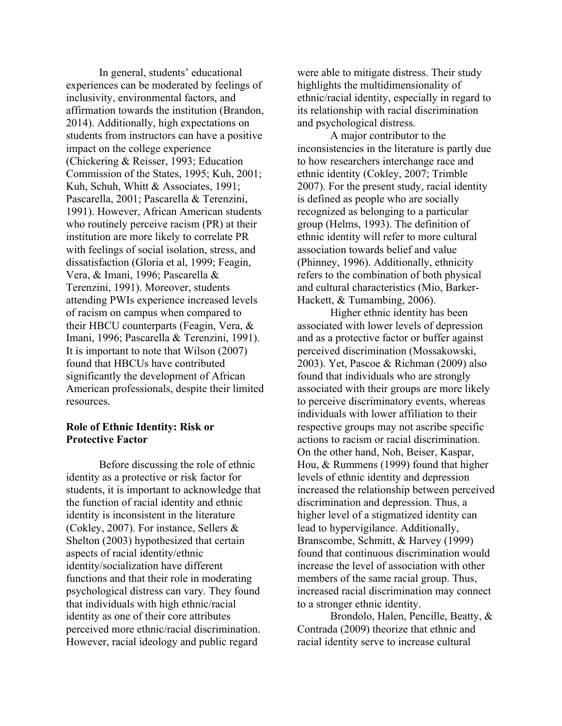In general, students' educational experiences can be moderated by feelings of inclusivity, environmental factors, and affirmation towards the institution (Brandon, 2014). Additionally, high expectations on students from instructors can have a positive impact on the college experience (Chickering & Reisser, 1993; Education Commission of the States, 1995; Kuh, 2001; Kuh, Schuh, Whitt & Associates, 1991; Pascarella, 2001; Pascarella & Terenzini, 1991). However, African American students who routinely perceive racism (PR) at their institution are more likely to correlate PR with feelings of social isolation, stress, and dissatisfaction (Gloria et al, 1999; Feagin, Vera, & Imani, 1996; Pascarella & Terenzini, 1991). Moreover, students attending PWIs experience increased levels of racism on campus when compared to their HBCU counterparts (Feagin, Vera, & Imani, 1996; Pascarella & Terenzini, 1991). It is important to note that Wilson (2007) found that HBCUs have contributed significantly the development of African American professionals, despite their limited resources.

## **Role of Ethnic Identity: Risk or Protective Factor**

Before discussing the role of ethnic identity as a protective or risk factor for students, it is important to acknowledge that the function of racial identity and ethnic identity is inconsistent in the literature (Cokley, 2007). For instance, Sellers & Shelton (2003) hypothesized that certain aspects of racial identity/ethnic identity/socialization have different functions and that their role in moderating psychological distress can vary. They found that individuals with high ethnic/racial identity as one of their core attributes perceived more ethnic/racial discrimination. However, racial ideology and public regard

were able to mitigate distress. Their study highlights the multidimensionality of ethnic/racial identity, especially in regard to its relationship with racial discrimination and psychological distress.

A major contributor to the inconsistencies in the literature is partly due to how researchers interchange race and ethnic identity (Cokley, 2007; Trimble 2007). For the present study, racial identity is defined as people who are socially recognized as belonging to a particular group (Helms, 1993). The definition of ethnic identity will refer to more cultural association towards belief and value (Phinney, 1996). Additionally, ethnicity refers to the combination of both physical and cultural characteristics (Mio, Barker-Hackett, & Tumambing, 2006).

Higher ethnic identity has been associated with lower levels of depression and as a protective factor or buffer against perceived discrimination (Mossakowski, 2003). Yet, Pascoe & Richman (2009) also found that individuals who are strongly associated with their groups are more likely to perceive discriminatory events, whereas individuals with lower affiliation to their respective groups may not ascribe specific actions to racism or racial discrimination. On the other hand, Noh, Beiser, Kaspar, Hou, & Rummens (1999) found that higher levels of ethnic identity and depression increased the relationship between perceived discrimination and depression. Thus, a higher level of a stigmatized identity can lead to hypervigilance. Additionally, Branscombe, Schmitt, & Harvey (1999) found that continuous discrimination would increase the level of association with other members of the same racial group. Thus, increased racial discrimination may connect to a stronger ethnic identity.

 Brondolo, Halen, Pencille, Beatty, & Contrada (2009) theorize that ethnic and racial identity serve to increase cultural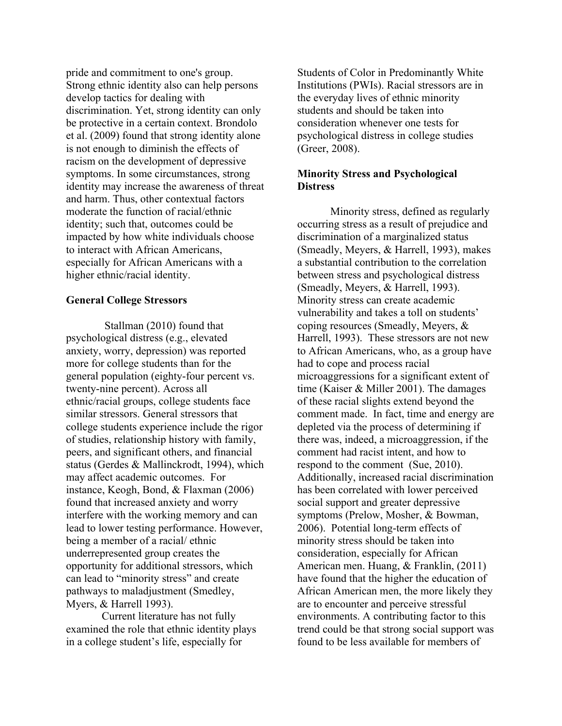pride and commitment to one's group. Strong ethnic identity also can help persons develop tactics for dealing with discrimination. Yet, strong identity can only be protective in a certain context. Brondolo et al. (2009) found that strong identity alone is not enough to diminish the effects of racism on the development of depressive symptoms. In some circumstances, strong identity may increase the awareness of threat and harm. Thus, other contextual factors moderate the function of racial/ethnic identity; such that, outcomes could be impacted by how white individuals choose to interact with African Americans, especially for African Americans with a higher ethnic/racial identity.

## **General College Stressors**

Stallman (2010) found that psychological distress (e.g., elevated anxiety, worry, depression) was reported more for college students than for the general population (eighty-four percent vs. twenty-nine percent). Across all ethnic/racial groups, college students face similar stressors. General stressors that college students experience include the rigor of studies, relationship history with family, peers, and significant others, and financial status (Gerdes & Mallinckrodt, 1994), which may affect academic outcomes. For instance, Keogh, Bond, & Flaxman (2006) found that increased anxiety and worry interfere with the working memory and can lead to lower testing performance. However, being a member of a racial/ ethnic underrepresented group creates the opportunity for additional stressors, which can lead to "minority stress" and create pathways to maladjustment (Smedley, Myers, & Harrell 1993).

 Current literature has not fully examined the role that ethnic identity plays in a college student's life, especially for

Students of Color in Predominantly White Institutions (PWIs). Racial stressors are in the everyday lives of ethnic minority students and should be taken into consideration whenever one tests for psychological distress in college studies (Greer, 2008).

## **Minority Stress and Psychological Distress**

 Minority stress, defined as regularly occurring stress as a result of prejudice and discrimination of a marginalized status (Smeadly, Meyers, & Harrell, 1993), makes a substantial contribution to the correlation between stress and psychological distress (Smeadly, Meyers, & Harrell, 1993). Minority stress can create academic vulnerability and takes a toll on students' coping resources (Smeadly, Meyers, & Harrell, 1993). These stressors are not new to African Americans, who, as a group have had to cope and process racial microaggressions for a significant extent of time (Kaiser & Miller 2001). The damages of these racial slights extend beyond the comment made. In fact, time and energy are depleted via the process of determining if there was, indeed, a microaggression, if the comment had racist intent, and how to respond to the comment (Sue, 2010). Additionally, increased racial discrimination has been correlated with lower perceived social support and greater depressive symptoms (Prelow, Mosher, & Bowman, 2006). Potential long-term effects of minority stress should be taken into consideration, especially for African American men. Huang, & Franklin, (2011) have found that the higher the education of African American men, the more likely they are to encounter and perceive stressful environments. A contributing factor to this trend could be that strong social support was found to be less available for members of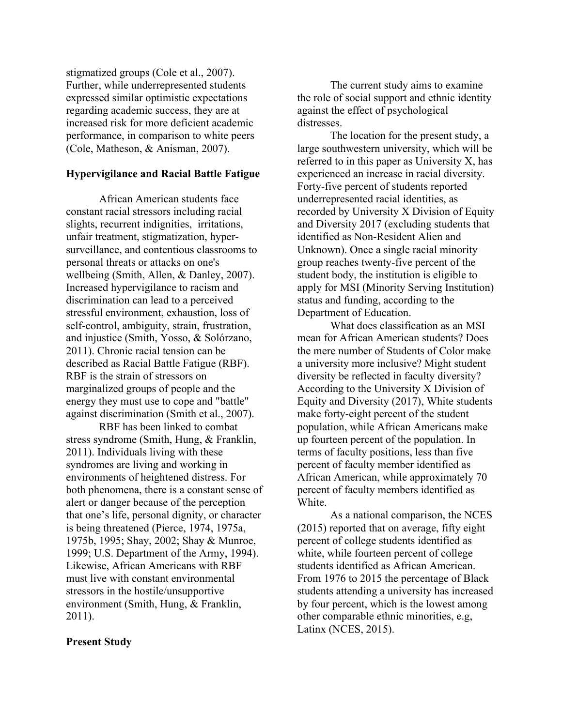stigmatized groups (Cole et al., 2007). Further, while underrepresented students expressed similar optimistic expectations regarding academic success, they are at increased risk for more deficient academic performance, in comparison to white peers (Cole, Matheson, & Anisman, 2007).

## **Hypervigilance and Racial Battle Fatigue**

African American students face constant racial stressors including racial slights, recurrent indignities, irritations, unfair treatment, stigmatization, hypersurveillance, and contentious classrooms to personal threats or attacks on one's wellbeing (Smith, Allen, & Danley, 2007). Increased hypervigilance to racism and discrimination can lead to a perceived stressful environment, exhaustion, loss of self-control, ambiguity, strain, frustration, and injustice (Smith, Yosso, & Solórzano, 2011). Chronic racial tension can be described as Racial Battle Fatigue (RBF). RBF is the strain of stressors on marginalized groups of people and the energy they must use to cope and "battle" against discrimination (Smith et al., 2007).

RBF has been linked to combat stress syndrome (Smith, Hung, & Franklin, 2011). Individuals living with these syndromes are living and working in environments of heightened distress. For both phenomena, there is a constant sense of alert or danger because of the perception that one's life, personal dignity, or character is being threatened (Pierce, 1974, 1975a, 1975b, 1995; Shay, 2002; Shay & Munroe, 1999; U.S. Department of the Army, 1994). Likewise, African Americans with RBF must live with constant environmental stressors in the hostile/unsupportive environment (Smith, Hung, & Franklin, 2011).

## **Present Study**

The current study aims to examine the role of social support and ethnic identity against the effect of psychological distresses.

The location for the present study, a large southwestern university, which will be referred to in this paper as University X, has experienced an increase in racial diversity. Forty-five percent of students reported underrepresented racial identities, as recorded by University X Division of Equity and Diversity 2017 (excluding students that identified as Non-Resident Alien and Unknown). Once a single racial minority group reaches twenty-five percent of the student body, the institution is eligible to apply for MSI (Minority Serving Institution) status and funding, according to the Department of Education.

What does classification as an MSI mean for African American students? Does the mere number of Students of Color make a university more inclusive? Might student diversity be reflected in faculty diversity? According to the University X Division of Equity and Diversity (2017), White students make forty-eight percent of the student population, while African Americans make up fourteen percent of the population. In terms of faculty positions, less than five percent of faculty member identified as African American, while approximately 70 percent of faculty members identified as White.

As a national comparison, the NCES (2015) reported that on average, fifty eight percent of college students identified as white, while fourteen percent of college students identified as African American. From 1976 to 2015 the percentage of Black students attending a university has increased by four percent, which is the lowest among other comparable ethnic minorities, e.g, Latinx (NCES, 2015).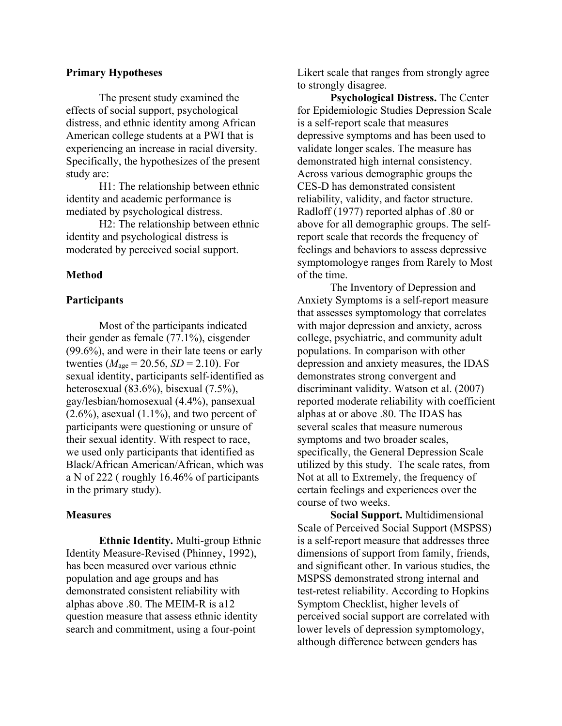#### **Primary Hypotheses**

The present study examined the effects of social support, psychological distress, and ethnic identity among African American college students at a PWI that is experiencing an increase in racial diversity. Specifically, the hypothesizes of the present study are:

H1: The relationship between ethnic identity and academic performance is mediated by psychological distress.

H2: The relationship between ethnic identity and psychological distress is moderated by perceived social support.

## **Method**

#### **Participants**

Most of the participants indicated their gender as female (77.1%), cisgender (99.6%), and were in their late teens or early twenties ( $M_{\text{age}} = 20.56$ ,  $SD = 2.10$ ). For sexual identity, participants self-identified as heterosexual (83.6%), bisexual (7.5%), gay/lesbian/homosexual (4.4%), pansexual  $(2.6\%)$ , asexual  $(1.1\%)$ , and two percent of participants were questioning or unsure of their sexual identity. With respect to race, we used only participants that identified as Black/African American/African, which was a N of 222 ( roughly 16.46% of participants in the primary study).

#### **Measures**

**Ethnic Identity.** Multi-group Ethnic Identity Measure-Revised (Phinney, 1992), has been measured over various ethnic population and age groups and has demonstrated consistent reliability with alphas above .80. The MEIM-R is a12 question measure that assess ethnic identity search and commitment, using a four-point

Likert scale that ranges from strongly agree to strongly disagree.

**Psychological Distress.** The Center for Epidemiologic Studies Depression Scale is a self-report scale that measures depressive symptoms and has been used to validate longer scales. The measure has demonstrated high internal consistency. Across various demographic groups the CES-D has demonstrated consistent reliability, validity, and factor structure. Radloff (1977) reported alphas of .80 or above for all demographic groups. The selfreport scale that records the frequency of feelings and behaviors to assess depressive symptomologye ranges from Rarely to Most of the time.

The Inventory of Depression and Anxiety Symptoms is a self-report measure that assesses symptomology that correlates with major depression and anxiety, across college, psychiatric, and community adult populations. In comparison with other depression and anxiety measures, the IDAS demonstrates strong convergent and discriminant validity. Watson et al. (2007) reported moderate reliability with coefficient alphas at or above .80. The IDAS has several scales that measure numerous symptoms and two broader scales, specifically, the General Depression Scale utilized by this study. The scale rates, from Not at all to Extremely, the frequency of certain feelings and experiences over the course of two weeks.

**Social Support.** Multidimensional Scale of Perceived Social Support (MSPSS) is a self-report measure that addresses three dimensions of support from family, friends, and significant other. In various studies, the MSPSS demonstrated strong internal and test-retest reliability. According to Hopkins Symptom Checklist, higher levels of perceived social support are correlated with lower levels of depression symptomology, although difference between genders has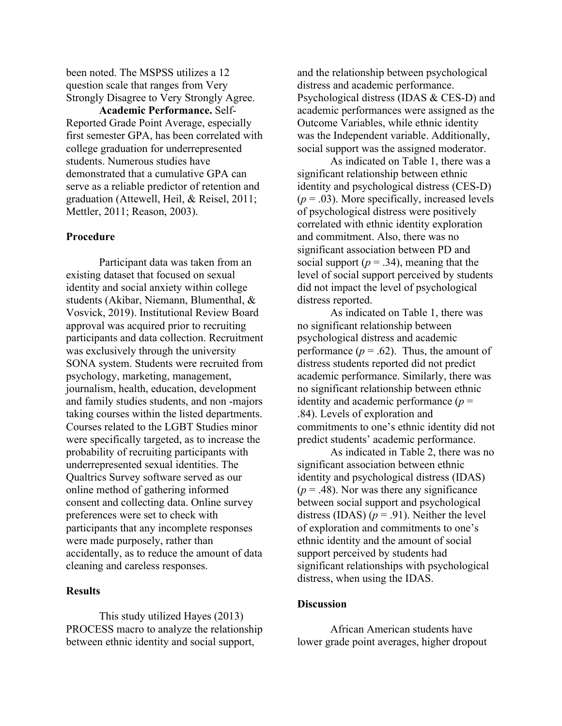been noted. The MSPSS utilizes a 12 question scale that ranges from Very Strongly Disagree to Very Strongly Agree.

**Academic Performance.** Self-Reported Grade Point Average, especially first semester GPA, has been correlated with college graduation for underrepresented students. Numerous studies have demonstrated that a cumulative GPA can serve as a reliable predictor of retention and graduation (Attewell, Heil, & Reisel, 2011; Mettler, 2011; Reason, 2003).

### **Procedure**

Participant data was taken from an existing dataset that focused on sexual identity and social anxiety within college students (Akibar, Niemann, Blumenthal, & Vosvick, 2019). Institutional Review Board approval was acquired prior to recruiting participants and data collection. Recruitment was exclusively through the university SONA system. Students were recruited from psychology, marketing, management, journalism, health, education, development and family studies students, and non -majors taking courses within the listed departments. Courses related to the LGBT Studies minor were specifically targeted, as to increase the probability of recruiting participants with underrepresented sexual identities. The Qualtrics Survey software served as our online method of gathering informed consent and collecting data. Online survey preferences were set to check with participants that any incomplete responses were made purposely, rather than accidentally, as to reduce the amount of data cleaning and careless responses.

## **Results**

This study utilized Hayes (2013) PROCESS macro to analyze the relationship between ethnic identity and social support,

and the relationship between psychological distress and academic performance. Psychological distress (IDAS & CES-D) and academic performances were assigned as the Outcome Variables, while ethnic identity was the Independent variable. Additionally, social support was the assigned moderator.

As indicated on Table 1, there was a significant relationship between ethnic identity and psychological distress (CES-D)  $(p = .03)$ . More specifically, increased levels of psychological distress were positively correlated with ethnic identity exploration and commitment. Also, there was no significant association between PD and social support ( $p = .34$ ), meaning that the level of social support perceived by students did not impact the level of psychological distress reported.

As indicated on Table 1, there was no significant relationship between psychological distress and academic performance  $(p = .62)$ . Thus, the amount of distress students reported did not predict academic performance. Similarly, there was no significant relationship between ethnic identity and academic performance  $(p =$ .84). Levels of exploration and commitments to one's ethnic identity did not predict students' academic performance.

As indicated in Table 2, there was no significant association between ethnic identity and psychological distress (IDAS)  $(p = .48)$ . Nor was there any significance between social support and psychological distress (IDAS)  $(p = .91)$ . Neither the level of exploration and commitments to one's ethnic identity and the amount of social support perceived by students had significant relationships with psychological distress, when using the IDAS.

## **Discussion**

African American students have lower grade point averages, higher dropout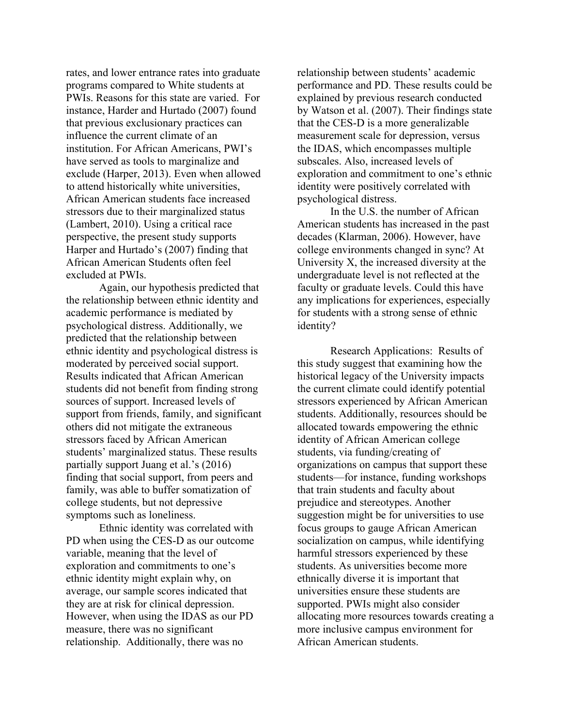rates, and lower entrance rates into graduate programs compared to White students at PWIs. Reasons for this state are varied. For instance, Harder and Hurtado (2007) found that previous exclusionary practices can influence the current climate of an institution. For African Americans, PWI's have served as tools to marginalize and exclude (Harper, 2013). Even when allowed to attend historically white universities, African American students face increased stressors due to their marginalized status (Lambert, 2010). Using a critical race perspective, the present study supports Harper and Hurtado's (2007) finding that African American Students often feel excluded at PWIs.

Again, our hypothesis predicted that the relationship between ethnic identity and academic performance is mediated by psychological distress. Additionally, we predicted that the relationship between ethnic identity and psychological distress is moderated by perceived social support. Results indicated that African American students did not benefit from finding strong sources of support. Increased levels of support from friends, family, and significant others did not mitigate the extraneous stressors faced by African American students' marginalized status. These results partially support Juang et al.'s (2016) finding that social support, from peers and family, was able to buffer somatization of college students, but not depressive symptoms such as loneliness.

Ethnic identity was correlated with PD when using the CES-D as our outcome variable, meaning that the level of exploration and commitments to one's ethnic identity might explain why, on average, our sample scores indicated that they are at risk for clinical depression. However, when using the IDAS as our PD measure, there was no significant relationship. Additionally, there was no

relationship between students' academic performance and PD. These results could be explained by previous research conducted by Watson et al. (2007). Their findings state that the CES-D is a more generalizable measurement scale for depression, versus the IDAS, which encompasses multiple subscales. Also, increased levels of exploration and commitment to one's ethnic identity were positively correlated with psychological distress.

In the U.S. the number of African American students has increased in the past decades (Klarman, 2006). However, have college environments changed in sync? At University X, the increased diversity at the undergraduate level is not reflected at the faculty or graduate levels. Could this have any implications for experiences, especially for students with a strong sense of ethnic identity?

Research Applications: Results of this study suggest that examining how the historical legacy of the University impacts the current climate could identify potential stressors experienced by African American students. Additionally, resources should be allocated towards empowering the ethnic identity of African American college students, via funding/creating of organizations on campus that support these students—for instance, funding workshops that train students and faculty about prejudice and stereotypes. Another suggestion might be for universities to use focus groups to gauge African American socialization on campus, while identifying harmful stressors experienced by these students. As universities become more ethnically diverse it is important that universities ensure these students are supported. PWIs might also consider allocating more resources towards creating a more inclusive campus environment for African American students.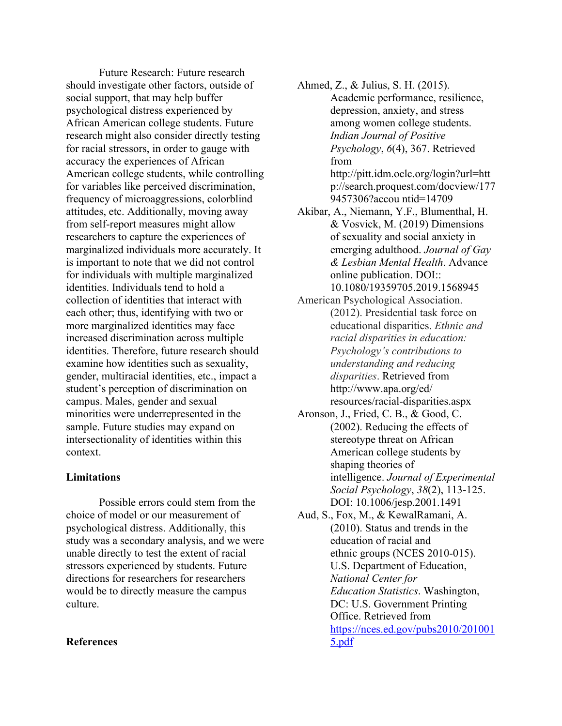Future Research: Future research should investigate other factors, outside of social support, that may help buffer psychological distress experienced by African American college students. Future research might also consider directly testing for racial stressors, in order to gauge with accuracy the experiences of African American college students, while controlling for variables like perceived discrimination, frequency of microaggressions, colorblind attitudes, etc. Additionally, moving away from self-report measures might allow researchers to capture the experiences of marginalized individuals more accurately. It is important to note that we did not control for individuals with multiple marginalized identities. Individuals tend to hold a collection of identities that interact with each other; thus, identifying with two or more marginalized identities may face increased discrimination across multiple identities. Therefore, future research should examine how identities such as sexuality, gender, multiracial identities, etc., impact a student's perception of discrimination on campus. Males, gender and sexual minorities were underrepresented in the sample. Future studies may expand on intersectionality of identities within this context.

## **Limitations**

Possible errors could stem from the choice of model or our measurement of psychological distress. Additionally, this study was a secondary analysis, and we were unable directly to test the extent of racial stressors experienced by students. Future directions for researchers for researchers would be to directly measure the campus culture.

## **References**

Ahmed, Z., & Julius, S. H. (2015). Academic performance, resilience, depression, anxiety, and stress among women college students. *Indian Journal of Positive Psychology*, *6*(4), 367. Retrieved from http://pitt.idm.oclc.org/login?url=htt p://search.proquest.com/docview/177 9457306?accou ntid=14709

- Akibar, A., Niemann, Y.F., Blumenthal, H. & Vosvick, M. (2019) Dimensions of sexuality and social anxiety in emerging adulthood. *Journal of Gay & Lesbian Mental Health*. Advance online publication. DOI:: 10.1080/19359705.2019.1568945
- American Psychological Association. (2012). Presidential task force on educational disparities. *Ethnic and racial disparities in education: Psychology's contributions to understanding and reducing disparities*. Retrieved from http://www.apa.org/ed/ resources/racial-disparities.aspx
- Aronson, J., Fried, C. B., & Good, C. (2002). Reducing the effects of stereotype threat on African American college students by shaping theories of intelligence. *Journal of Experimental Social Psychology*, *38*(2), 113-125. DOI: 10.1006/jesp.2001.1491
- Aud, S., Fox, M., & KewalRamani, A. (2010). Status and trends in the education of racial and ethnic groups (NCES 2010-015). U.S. Department of Education, *National Center for Education Statistics*. Washington, DC: U.S. Government Printing Office. Retrieved from https://nces.ed.gov/pubs2010/201001 5.pdf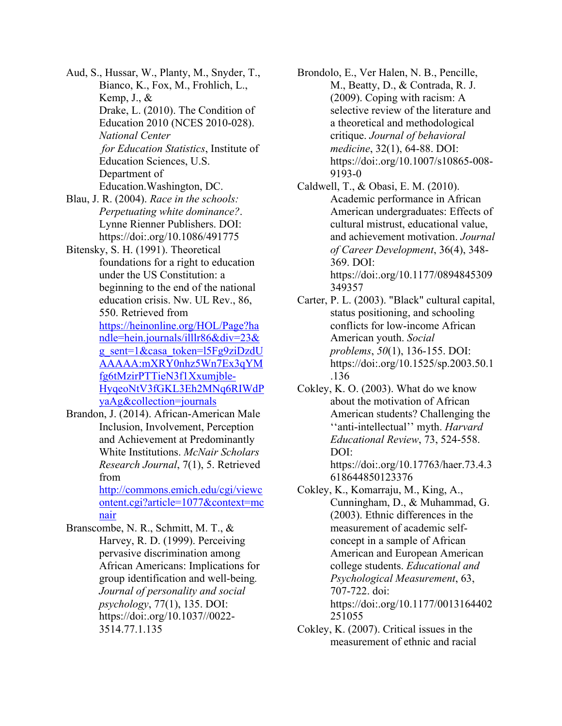Aud, S., Hussar, W., Planty, M., Snyder, T., Bianco, K., Fox, M., Frohlich, L., Kemp, J., & Drake, L. (2010). The Condition of Education 2010 (NCES 2010-028). *National Center for Education Statistics*, Institute of Education Sciences, U.S. Department of Education.Washington, DC.

Blau, J. R. (2004). *Race in the schools: Perpetuating white dominance?*. Lynne Rienner Publishers. DOI: https://doi:.org/10.1086/491775

Bitensky, S. H. (1991). Theoretical foundations for a right to education under the US Constitution: a beginning to the end of the national education crisis. Nw. UL Rev., 86, 550. Retrieved from https://heinonline.org/HOL/Page?ha ndle=hein.journals/illlr86&div=23&

> g\_sent=1&casa\_token=l5Fg9ziDzdU AAAAA:mXRY0nhz5Wn7Ex3qYM fg6tMzirPTTieN3f1Xxumjble-HyqeoNtV3fGKL3Eh2MNq6RIWdP yaAg&collection=journals

Brandon, J. (2014). African-American Male Inclusion, Involvement, Perception and Achievement at Predominantly White Institutions. *McNair Scholars Research Journal*, 7(1), 5. Retrieved from

http://commons.emich.edu/cgi/viewc ontent.cgi?article=1077&context=mc nair

Branscombe, N. R., Schmitt, M. T., & Harvey, R. D. (1999). Perceiving pervasive discrimination among African Americans: Implications for group identification and well-being*. Journal of personality and social psychology*, 77(1), 135. DOI: https://doi:.org/10.1037//0022- 3514.77.1.135

Brondolo, E., Ver Halen, N. B., Pencille, M., Beatty, D., & Contrada, R. J. (2009). Coping with racism: A selective review of the literature and a theoretical and methodological critique. *Journal of behavioral medicine*, 32(1), 64-88. DOI: https://doi:.org/10.1007/s10865-008- 9193-0

- Caldwell, T., & Obasi, E. M. (2010). Academic performance in African American undergraduates: Effects of cultural mistrust, educational value, and achievement motivation. *Journal of Career Development*, 36(4), 348- 369. DOI: https://doi:.org/10.1177/0894845309 349357
- Carter, P. L. (2003). "Black" cultural capital, status positioning, and schooling conflicts for low-income African American youth. *Social problems*, *50*(1), 136-155. DOI: https://doi:.org/10.1525/sp.2003.50.1 .136
- Cokley, K. O. (2003). What do we know about the motivation of African American students? Challenging the ''anti-intellectual'' myth. *Harvard Educational Review*, 73, 524-558. DOI: https://doi:.org/10.17763/haer.73.4.3 618644850123376
- Cokley, K., Komarraju, M., King, A., Cunningham, D., & Muhammad, G. (2003). Ethnic differences in the measurement of academic selfconcept in a sample of African American and European American college students. *Educational and Psychological Measurement*, 63, 707-722. doi: https://doi:.org/10.1177/0013164402 251055
- Cokley, K. (2007). Critical issues in the measurement of ethnic and racial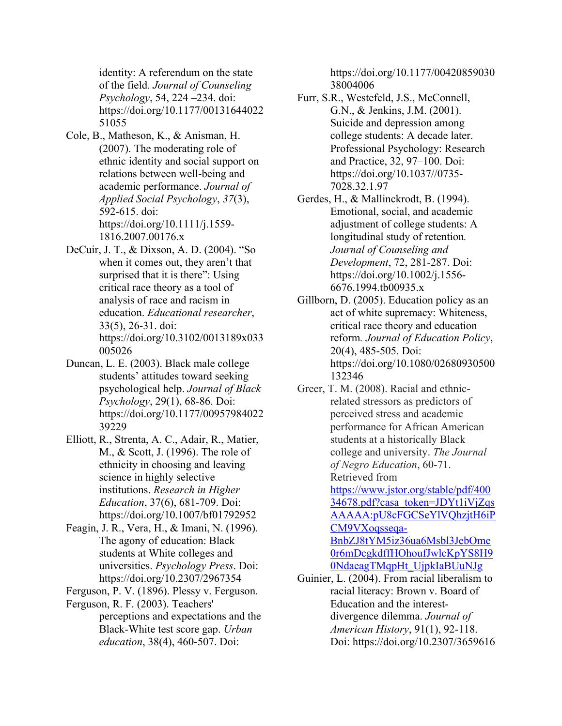identity: A referendum on the state of the field*. Journal of Counseling Psychology*, 54, 224 –234. doi: https://doi.org/10.1177/00131644022 51055

- Cole, B., Matheson, K., & Anisman, H. (2007). The moderating role of ethnic identity and social support on relations between well‐being and academic performance. *Journal of Applied Social Psychology*, *37*(3), 592-615. doi: https://doi.org/10.1111/j.1559- 1816.2007.00176.x
- DeCuir, J. T., & Dixson, A. D. (2004). "So when it comes out, they aren't that surprised that it is there": Using critical race theory as a tool of analysis of race and racism in education. *Educational researcher*, 33(5), 26-31. doi: https://doi.org/10.3102/0013189x033 005026
- Duncan, L. E. (2003). Black male college students' attitudes toward seeking psychological help. *Journal of Black Psychology*, 29(1), 68-86. Doi: https://doi.org/10.1177/00957984022 39229
- Elliott, R., Strenta, A. C., Adair, R., Matier, M., & Scott, J. (1996). The role of ethnicity in choosing and leaving science in highly selective institutions. *Research in Higher Education*, 37(6), 681-709. Doi: https://doi.org/10.1007/bf01792952
- Feagin, J. R., Vera, H., & Imani, N. (1996). The agony of education: Black students at White colleges and universities. *Psychology Press*. Doi: https://doi.org/10.2307/2967354

Ferguson, P. V. (1896). Plessy v. Ferguson.

- Ferguson, R. F. (2003). Teachers'
	- perceptions and expectations and the Black-White test score gap. *Urban education*, 38(4), 460-507. Doi:

https://doi.org/10.1177/00420859030 38004006

- Furr, S.R., Westefeld, J.S., McConnell, G.N., & Jenkins, J.M. (2001). Suicide and depression among college students: A decade later. Professional Psychology: Research and Practice, 32, 97–100. Doi: https://doi.org/10.1037//0735- 7028.32.1.97
- Gerdes, H., & Mallinckrodt, B. (1994). Emotional, social, and academic adjustment of college students: A longitudinal study of retention*. Journal of Counseling and Development*, 72, 281-287. Doi: https://doi.org/10.1002/j.1556- 6676.1994.tb00935.x
- Gillborn, D. (2005). Education policy as an act of white supremacy: Whiteness, critical race theory and education reform*. Journal of Education Policy*, 20(4), 485-505. Doi: https://doi.org/10.1080/02680930500 132346
- Greer, T. M. (2008). Racial and ethnicrelated stressors as predictors of perceived stress and academic performance for African American students at a historically Black college and university. *The Journal of Negro Education*, 60-71. Retrieved from https://www.jstor.org/stable/pdf/400 34678.pdf?casa\_token=JDYt1iVjZqs AAAAA:pU8cFGCSeYlVQhzjtH6iP CM9VXoqsseqa-BnbZJ8tYM5iz36ua6Msbl3JebOme 0r6mDcgkdffHOhoufJwlcKpYS8H9 0NdaeagTMqpHt\_UjpkIaBUuNJg
- Guinier, L. (2004). From racial liberalism to racial literacy: Brown v. Board of Education and the interestdivergence dilemma. *Journal of American History*, 91(1), 92-118. Doi: https://doi.org/10.2307/3659616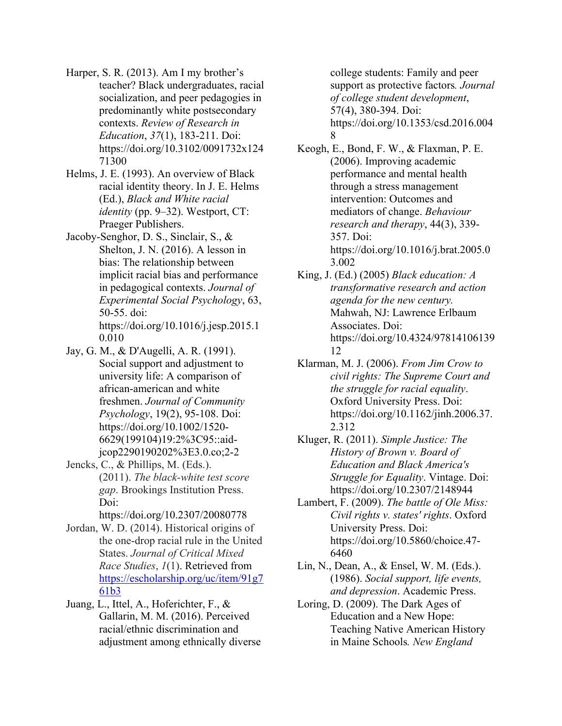- Harper, S. R. (2013). Am I my brother's teacher? Black undergraduates, racial socialization, and peer pedagogies in predominantly white postsecondary contexts. *Review of Research in Education*, *37*(1), 183-211. Doi: https://doi.org/10.3102/0091732x124 71300
- Helms, J. E. (1993). An overview of Black racial identity theory. In J. E. Helms (Ed.), *Black and White racial identity* (pp. 9–32). Westport, CT: Praeger Publishers.
- Jacoby-Senghor, D. S., Sinclair, S., & Shelton, J. N. (2016). A lesson in bias: The relationship between implicit racial bias and performance in pedagogical contexts. *Journal of Experimental Social Psychology*, 63, 50-55. doi: https://doi.org/10.1016/j.jesp.2015.1 0.010
- Jay, G. M., & D'Augelli, A. R. (1991). Social support and adjustment to university life: A comparison of african‐american and white freshmen. *Journal of Community Psychology*, 19(2), 95-108. Doi: https://doi.org/10.1002/1520- 6629(199104)19:2%3C95::aidjcop2290190202%3E3.0.co;2-2
- Jencks, C., & Phillips, M. (Eds.). (2011). *The black-white test score gap*. Brookings Institution Press. Doi:

https://doi.org/10.2307/20080778

- Jordan, W. D. (2014). Historical origins of the one-drop racial rule in the United States. *Journal of Critical Mixed Race Studies*, *1*(1). Retrieved from https://escholarship.org/uc/item/91g7 61b3
- Juang, L., Ittel, A., Hoferichter, F., & Gallarin, M. M. (2016). Perceived racial/ethnic discrimination and adjustment among ethnically diverse

college students: Family and peer support as protective factors*. Journal of college student development*, 57(4), 380-394. Doi: https://doi.org/10.1353/csd.2016.004 8

- Keogh, E., Bond, F. W., & Flaxman, P. E. (2006). Improving academic performance and mental health through a stress management intervention: Outcomes and mediators of change. *Behaviour research and therapy*, 44(3), 339- 357. Doi: https://doi.org/10.1016/j.brat.2005.0 3.002
- King, J. (Ed.) (2005) *Black education: A transformative research and action agenda for the new century.* Mahwah, NJ: Lawrence Erlbaum Associates. Doi: https://doi.org/10.4324/97814106139 12
- Klarman, M. J. (2006). *From Jim Crow to civil rights: The Supreme Court and the struggle for racial equality*. Oxford University Press. Doi: https://doi.org/10.1162/jinh.2006.37. 2.312
- Kluger, R. (2011). *Simple Justice: The History of Brown v. Board of Education and Black America's Struggle for Equality*. Vintage. Doi: https://doi.org/10.2307/2148944
- Lambert, F. (2009). *The battle of Ole Miss: Civil rights v. states' rights*. Oxford University Press. Doi: https://doi.org/10.5860/choice.47- 6460
- Lin, N., Dean, A., & Ensel, W. M. (Eds.). (1986). *Social support, life events, and depression*. Academic Press.
- Loring, D. (2009). The Dark Ages of Education and a New Hope: Teaching Native American History in Maine Schools*. New England*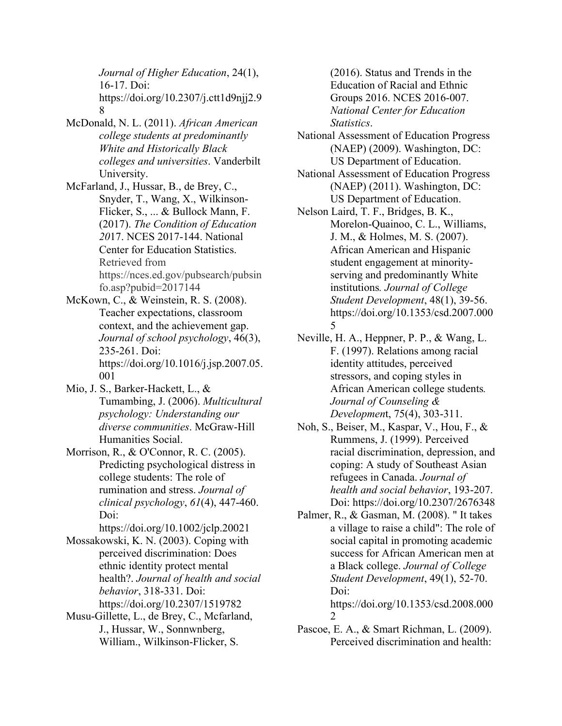*Journal of Higher Education*, 24(1), 16-17. Doi: https://doi.org/10.2307/j.ctt1d9njj2.9 8

- McDonald, N. L. (2011). *African American college students at predominantly White and Historically Black colleges and universities*. Vanderbilt University.
- McFarland, J., Hussar, B., de Brey, C., Snyder, T., Wang, X., Wilkinson-Flicker, S., ... & Bullock Mann, F. (2017). *The Condition of Education 20*17. NCES 2017-144. National Center for Education Statistics. Retrieved from https://nces.ed.gov/pubsearch/pubsin fo.asp?pubid=2017144
- McKown, C., & Weinstein, R. S. (2008). Teacher expectations, classroom context, and the achievement gap. *Journal of school psychology*, 46(3), 235-261. Doi: https://doi.org/10.1016/j.jsp.2007.05. 001
- Mio, J. S., Barker-Hackett, L., & Tumambing, J. (2006). *Multicultural psychology: Understanding our diverse communities*. McGraw-Hill Humanities Social.
- Morrison, R., & O'Connor, R. C. (2005). Predicting psychological distress in college students: The role of rumination and stress. *Journal of clinical psychology*, *61*(4), 447-460. Doi:

https://doi.org/10.1002/jclp.20021

- Mossakowski, K. N. (2003). Coping with perceived discrimination: Does ethnic identity protect mental health?. *Journal of health and social behavior*, 318-331. Doi: https://doi.org/10.2307/1519782
- Musu-Gillette, L., de Brey, C., Mcfarland, J., Hussar, W., Sonnwnberg, William., Wilkinson-Flicker, S.

(2016). Status and Trends in the Education of Racial and Ethnic Groups 2016. NCES 2016-007. *National Center for Education Statistics*.

- National Assessment of Education Progress (NAEP) (2009). Washington, DC: US Department of Education.
- National Assessment of Education Progress (NAEP) (2011). Washington, DC: US Department of Education.
- Nelson Laird, T. F., Bridges, B. K., Morelon-Quainoo, C. L., Williams, J. M., & Holmes, M. S. (2007). African American and Hispanic student engagement at minorityserving and predominantly White institutions*. Journal of College Student Development*, 48(1), 39-56. https://doi.org/10.1353/csd.2007.000 5
- Neville, H. A., Heppner, P. P., & Wang, L. F. (1997). Relations among racial identity attitudes, perceived stressors, and coping styles in African American college students*. Journal of Counseling & Developmen*t, 75(4), 303-311.
- Noh, S., Beiser, M., Kaspar, V., Hou, F., & Rummens, J. (1999). Perceived racial discrimination, depression, and coping: A study of Southeast Asian refugees in Canada. *Journal of health and social behavior*, 193-207. Doi: https://doi.org/10.2307/2676348
- Palmer, R., & Gasman, M. (2008). " It takes a village to raise a child": The role of social capital in promoting academic success for African American men at a Black college. *Journal of College Student Development*, 49(1), 52-70. Doi: https://doi.org/10.1353/csd.2008.000 2
- Pascoe, E. A., & Smart Richman, L. (2009). Perceived discrimination and health: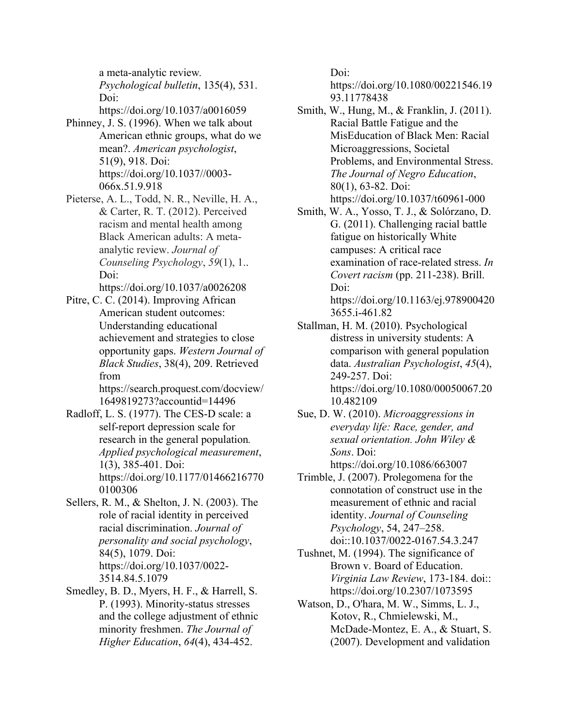a meta-analytic review*. Psychological bulletin*, 135(4), 531. Doi:

https://doi.org/10.1037/a0016059 Phinney, J. S. (1996). When we talk about

- American ethnic groups, what do we mean?. *American psychologist*, 51(9), 918. Doi: https://doi.org/10.1037//0003- 066x.51.9.918
- Pieterse, A. L., Todd, N. R., Neville, H. A., & Carter, R. T. (2012). Perceived racism and mental health among Black American adults: A metaanalytic review. *Journal of Counseling Psychology*, *59*(1), 1.. Doi:

https://doi.org/10.1037/a0026208

Pitre, C. C. (2014). Improving African American student outcomes: Understanding educational achievement and strategies to close opportunity gaps. *Western Journal of Black Studies*, 38(4), 209. Retrieved from

https://search.proquest.com/docview/ 1649819273?accountid=14496

- Radloff, L. S. (1977). The CES-D scale: a self-report depression scale for research in the general population*. Applied psychological measurement*, 1(3), 385-401. Doi: https://doi.org/10.1177/01466216770 0100306
- Sellers, R. M., & Shelton, J. N. (2003). The role of racial identity in perceived racial discrimination. *Journal of personality and social psychology*, 84(5), 1079. Doi: https://doi.org/10.1037/0022- 3514.84.5.1079
- Smedley, B. D., Myers, H. F., & Harrell, S. P. (1993). Minority-status stresses and the college adjustment of ethnic minority freshmen. *The Journal of Higher Education*, *64*(4), 434-452.

Doi:

https://doi.org/10.1080/00221546.19 93.11778438

- Smith, W., Hung, M., & Franklin, J. (2011). Racial Battle Fatigue and the MisEducation of Black Men: Racial Microaggressions, Societal Problems, and Environmental Stress. *The Journal of Negro Education*, 80(1), 63-82. Doi: https://doi.org/10.1037/t60961-000
- Smith, W. A., Yosso, T. J., & Solórzano, D. G. (2011). Challenging racial battle fatigue on historically White campuses: A critical race examination of race-related stress. *In Covert racism* (pp. 211-238). Brill. Doi: https://doi.org/10.1163/ej.978900420 3655.i-461.82
- Stallman, H. M. (2010). Psychological distress in university students: A comparison with general population data. *Australian Psychologist*, *45*(4), 249-257. Doi: https://doi.org/10.1080/00050067.20 10.482109
- Sue, D. W. (2010). *Microaggressions in everyday life: Race, gender, and sexual orientation. John Wiley & Sons*. Doi: https://doi.org/10.1086/663007
- Trimble, J. (2007). Prolegomena for the connotation of construct use in the measurement of ethnic and racial identity. *Journal of Counseling Psychology*, 54, 247–258. doi::10.1037/0022-0167.54.3.247
- Tushnet, M. (1994). The significance of Brown v. Board of Education. *Virginia Law Review*, 173-184. doi:: https://doi.org/10.2307/1073595
- Watson, D., O'hara, M. W., Simms, L. J., Kotov, R., Chmielewski, M., McDade-Montez, E. A., & Stuart, S. (2007). Development and validation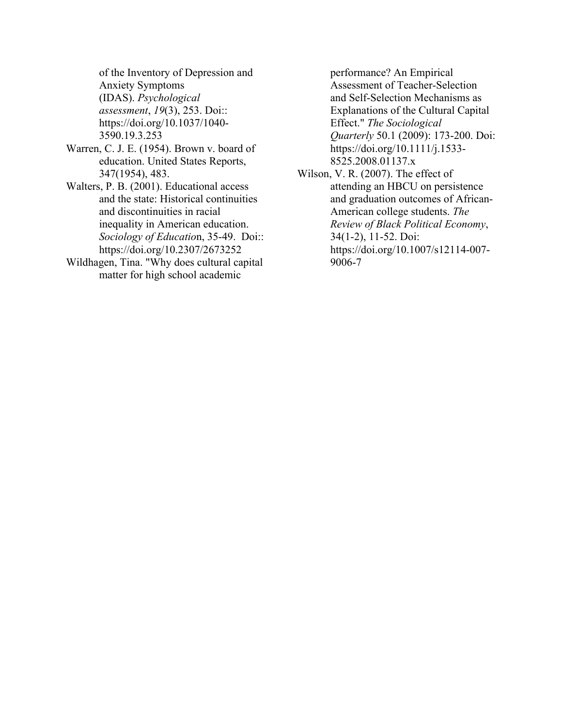of the Inventory of Depression and Anxiety Symptoms (IDAS). *Psychological assessment*, *19*(3), 253. Doi:: https://doi.org/10.1037/1040- 3590.19.3.253

- Warren, C. J. E. (1954). Brown v. board of education. United States Reports, 347(1954), 483.
- Walters, P. B. (2001). Educational access and the state: Historical continuities and discontinuities in racial inequality in American education. *Sociology of Educatio*n, 35-49. Doi:: https://doi.org/10.2307/2673252
- Wildhagen, Tina. "Why does cultural capital matter for high school academic

performance? An Empirical Assessment of Teacher‐Selection and Self‐Selection Mechanisms as Explanations of the Cultural Capital Effect." *The Sociological Quarterly* 50.1 (2009): 173-200. Doi: https://doi.org/10.1111/j.1533- 8525.2008.01137.x

Wilson, V. R. (2007). The effect of attending an HBCU on persistence and graduation outcomes of African-American college students. *The Review of Black Political Economy*, 34(1-2), 11-52. Doi: https://doi.org/10.1007/s12114-007- 9006-7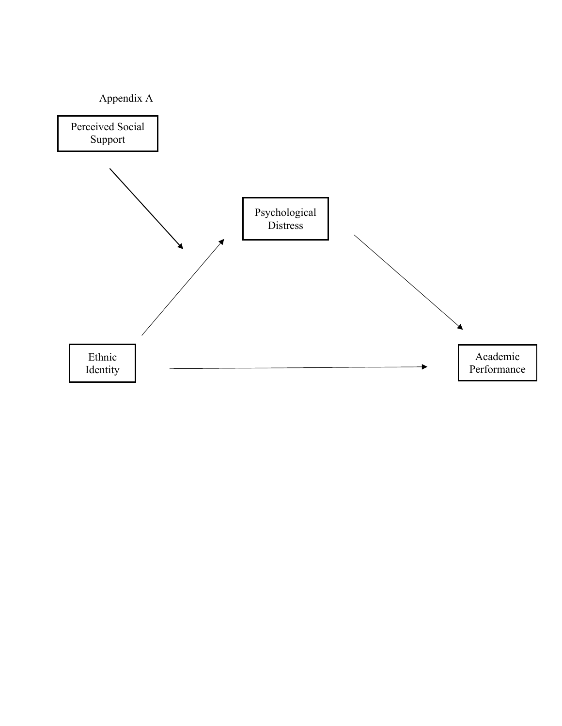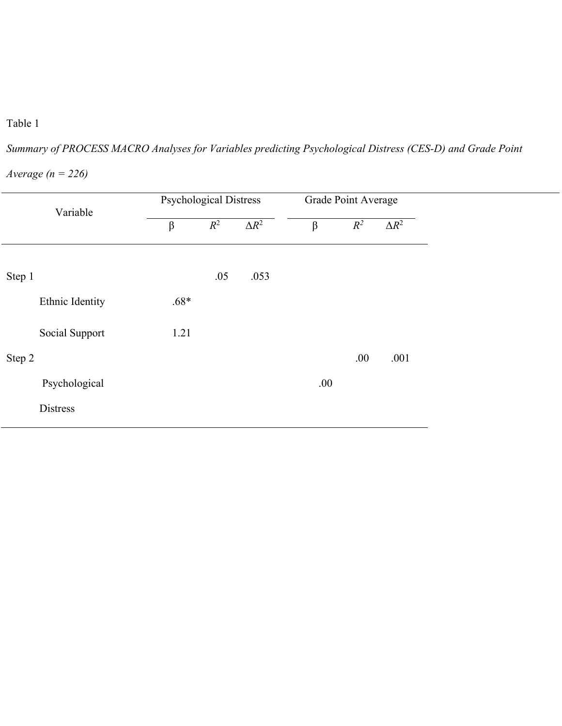## Table 1

*Summary of PROCESS MACRO Analyses for Variables predicting Psychological Distress (CES-D) and Grade Point* 

| Variable        |        | <b>Psychological Distress</b> |              |         | Grade Point Average |              |  |
|-----------------|--------|-------------------------------|--------------|---------|---------------------|--------------|--|
|                 | β      | $R^2$                         | $\Delta R^2$ | $\beta$ | $R^2$               | $\Delta R^2$ |  |
| Step 1          |        | .05                           | .053         |         |                     |              |  |
| Ethnic Identity | $.68*$ |                               |              |         |                     |              |  |
| Social Support  | 1.21   |                               |              |         |                     |              |  |
| Step 2          |        |                               |              |         | .00.                | .001         |  |
| Psychological   |        |                               |              | .00.    |                     |              |  |
| <b>Distress</b> |        |                               |              |         |                     |              |  |
|                 |        |                               |              |         |                     |              |  |

*Average (n = 226)*